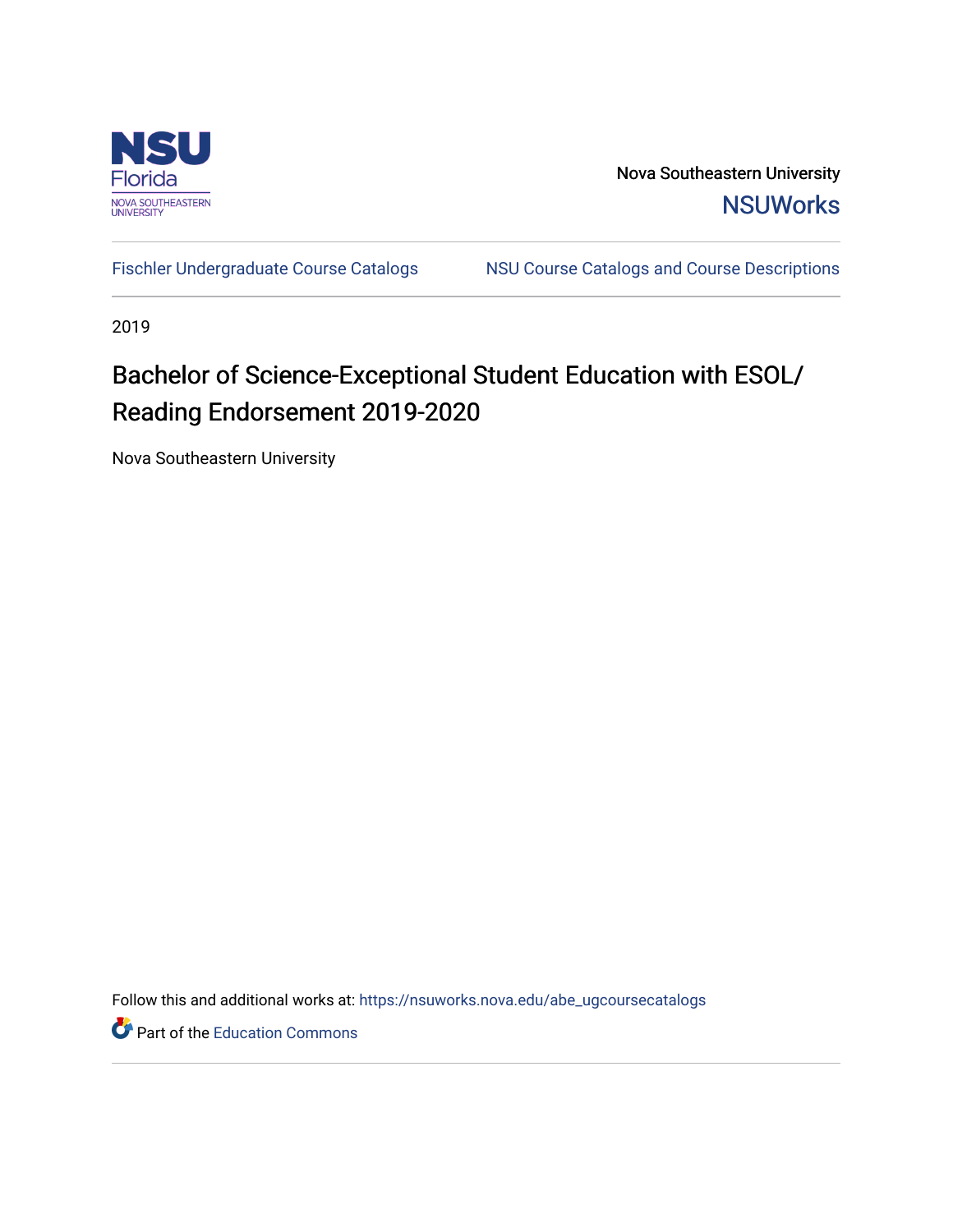

Nova Southeastern University **NSUWorks** 

[Fischler Undergraduate Course Catalogs](https://nsuworks.nova.edu/abe_ugcoursecatalogs) NSU Course Catalogs and Course Descriptions

2019

# Bachelor of Science-Exceptional Student Education with ESOL/ Reading Endorsement 2019-2020

Nova Southeastern University

Follow this and additional works at: [https://nsuworks.nova.edu/abe\\_ugcoursecatalogs](https://nsuworks.nova.edu/abe_ugcoursecatalogs?utm_source=nsuworks.nova.edu%2Fabe_ugcoursecatalogs%2F32&utm_medium=PDF&utm_campaign=PDFCoverPages) 

Part of the [Education Commons](http://network.bepress.com/hgg/discipline/784?utm_source=nsuworks.nova.edu%2Fabe_ugcoursecatalogs%2F32&utm_medium=PDF&utm_campaign=PDFCoverPages)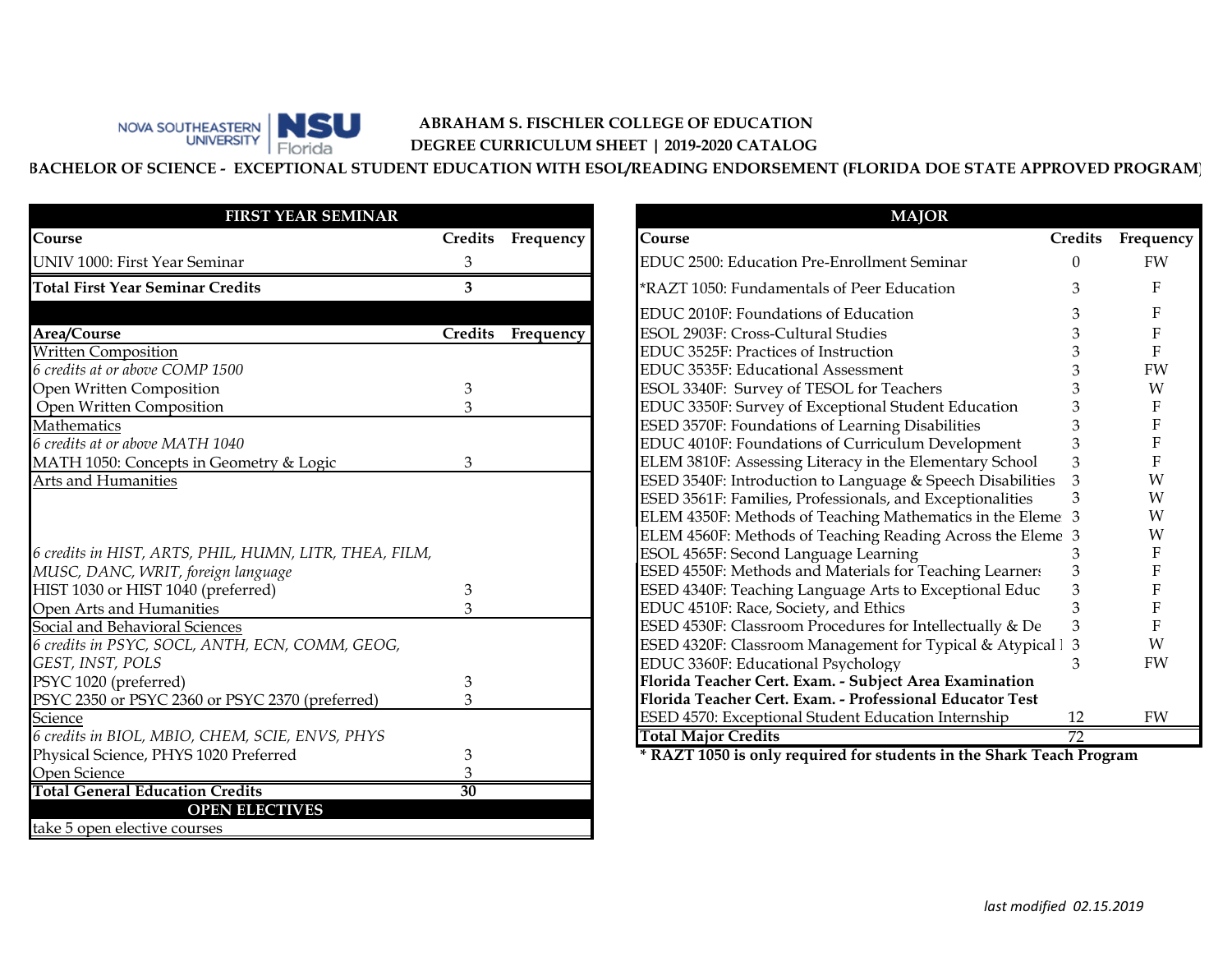

## **ABRAHAM S. FISCHLER COLLEGE OF EDUCATION DEGREE CURRICULUM SHEET | 2019-2020 CATALOG**

**BACHELOR OF SCIENCE - EXCEPTIONAL STUDENT EDUCATION WITH ESOL/READING ENDORSEMENT (FLORIDA DOE STATE APPROVED PROGRAM)**

| <b>FIRST YEAR SEMINAR</b>                              |                 |                   | <b>MAJOR</b>                                                         |                |       |
|--------------------------------------------------------|-----------------|-------------------|----------------------------------------------------------------------|----------------|-------|
| Course                                                 |                 | Credits Frequency | Course                                                               | <b>Credits</b> | Frequ |
| UNIV 1000: First Year Seminar                          |                 |                   | EDUC 2500: Education Pre-Enrollment Seminar                          |                | FV    |
| <b>Total First Year Seminar Credits</b>                | 3               |                   | *RAZT 1050: Fundamentals of Peer Education                           |                |       |
|                                                        |                 |                   | EDUC 2010F: Foundations of Education                                 |                |       |
| Area/Course                                            | Credits         | Frequency         | ESOL 2903F: Cross-Cultural Studies                                   |                |       |
| <b>Written Composition</b>                             |                 |                   | EDUC 3525F: Practices of Instruction                                 |                |       |
| 6 credits at or above COMP 1500                        |                 |                   | EDUC 3535F: Educational Assessment                                   |                | FV    |
| Open Written Composition                               | 3               |                   | ESOL 3340F: Survey of TESOL for Teachers                             |                |       |
| Open Written Composition                               | 3               |                   | EDUC 3350F: Survey of Exceptional Student Education                  |                |       |
| <b>Mathematics</b>                                     |                 |                   | ESED 3570F: Foundations of Learning Disabilities                     |                |       |
| 6 credits at or above MATH 1040                        |                 |                   | EDUC 4010F: Foundations of Curriculum Development                    |                |       |
| MATH 1050: Concepts in Geometry & Logic                | 3               |                   | ELEM 3810F: Assessing Literacy in the Elementary School              |                |       |
| Arts and Humanities                                    |                 |                   | ESED 3540F: Introduction to Language & Speech Disabilities           |                |       |
|                                                        |                 |                   | ESED 3561F: Families, Professionals, and Exceptionalities            |                |       |
|                                                        |                 |                   | ELEM 4350F: Methods of Teaching Mathematics in the Eleme 3           |                |       |
|                                                        |                 |                   | ELEM 4560F: Methods of Teaching Reading Across the Eleme 3           |                |       |
| 6 credits in HIST, ARTS, PHIL, HUMN, LITR, THEA, FILM, |                 |                   | ESOL 4565F: Second Language Learning                                 |                |       |
| MUSC, DANC, WRIT, foreign language                     |                 |                   | ESED 4550F: Methods and Materials for Teaching Learners              |                |       |
| HIST 1030 or HIST 1040 (preferred)                     | 3               |                   | ESED 4340F: Teaching Language Arts to Exceptional Educ               |                |       |
| Open Arts and Humanities                               | 3               |                   | EDUC 4510F: Race, Society, and Ethics                                |                |       |
| Social and Behavioral Sciences                         |                 |                   | ESED 4530F: Classroom Procedures for Intellectually & De             |                |       |
| 6 credits in PSYC, SOCL, ANTH, ECN, COMM, GEOG,        |                 |                   | ESED 4320F: Classroom Management for Typical & Atypical 1 3          |                |       |
| GEST, INST, POLS                                       |                 |                   | EDUC 3360F: Educational Psychology                                   | 3              | FV    |
| PSYC 1020 (preferred)                                  | 3               |                   | Florida Teacher Cert. Exam. - Subject Area Examination               |                |       |
| PSYC 2350 or PSYC 2360 or PSYC 2370 (preferred)        | $\mathbf{B}$    |                   | Florida Teacher Cert. Exam. - Professional Educator Test             |                |       |
| Science                                                |                 |                   | ESED 4570: Exceptional Student Education Internship                  | 12             | FV    |
| 6 credits in BIOL, MBIO, CHEM, SCIE, ENVS, PHYS        |                 |                   | <b>Total Major Credits</b>                                           |                |       |
| Physical Science, PHYS 1020 Preferred                  |                 |                   | * RAZT 1050 is only required for students in the Shark Teach Program |                |       |
| Open Science                                           |                 |                   |                                                                      |                |       |
| <b>Total General Education Credits</b>                 | $\overline{30}$ |                   |                                                                      |                |       |
| <b>OPEN ELECTIVES</b>                                  |                 |                   |                                                                      |                |       |
| take 5 open elective courses                           |                 |                   |                                                                      |                |       |

|                         |           | <b>MAJOR</b>                                               |                |           |
|-------------------------|-----------|------------------------------------------------------------|----------------|-----------|
| dits                    | Frequency | Course                                                     | <b>Credits</b> | Frequency |
| 3                       |           | EDUC 2500: Education Pre-Enrollment Seminar                | 0              | <b>FW</b> |
| $\overline{\mathbf{3}}$ |           | *RAZT 1050: Fundamentals of Peer Education                 |                | F         |
|                         |           | EDUC 2010F: Foundations of Education                       |                | F         |
| dits <sup></sup>        | Frequency | ESOL 2903F: Cross-Cultural Studies                         |                | F         |
|                         |           | EDUC 3525F: Practices of Instruction                       |                | F         |
|                         |           | EDUC 3535F: Educational Assessment                         |                | FW        |
| 3                       |           | ESOL 3340F: Survey of TESOL for Teachers                   |                | W         |
| 3                       |           | EDUC 3350F: Survey of Exceptional Student Education        |                | F         |
|                         |           | ESED 3570F: Foundations of Learning Disabilities           |                | F         |
|                         |           | EDUC 4010F: Foundations of Curriculum Development          |                | F         |
| 3                       |           | ELEM 3810F: Assessing Literacy in the Elementary School    | 3              | F         |
|                         |           | ESED 3540F: Introduction to Language & Speech Disabilities | 3              | W         |
|                         |           | ESED 3561F: Families, Professionals, and Exceptionalities  | 3              | W         |
|                         |           | ELEM 4350F: Methods of Teaching Mathematics in the Eleme 3 |                | W         |
|                         |           | ELEM 4560F: Methods of Teaching Reading Across the Eleme 3 |                | W         |
|                         |           | ESOL 4565F: Second Language Learning                       | 3              | F         |
|                         |           | ESED 4550F: Methods and Materials for Teaching Learners    | 3              | F         |
| 3                       |           | ESED 4340F: Teaching Language Arts to Exceptional Educ     | 3              | F         |
| 3                       |           | EDUC 4510F: Race, Society, and Ethics                      |                | F         |
|                         |           | ESED 4530F: Classroom Procedures for Intellectually & De   | 3              | F         |
|                         |           | ESED 4320F: Classroom Management for Typical & Atypical l  | 3              | W         |
|                         |           | EDUC 3360F: Educational Psychology                         | 3              | FW        |
| 3                       |           | Florida Teacher Cert. Exam. - Subject Area Examination     |                |           |
| 3                       |           | Florida Teacher Cert. Exam. - Professional Educator Test   |                |           |
|                         |           | ESED 4570: Exceptional Student Education Internship        | 12             | FW        |
|                         |           | <b>Total Major Credits</b>                                 | 72             |           |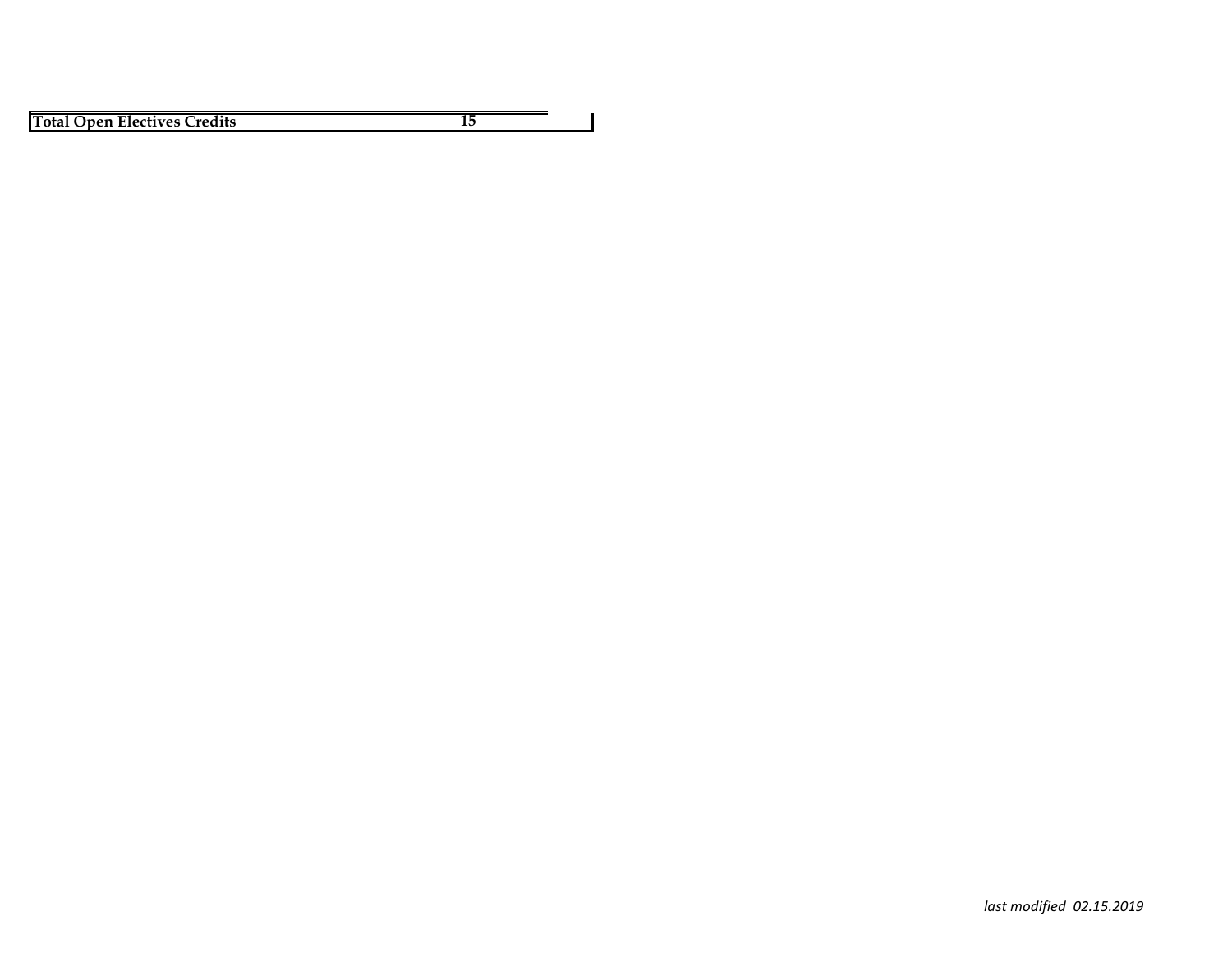**Total Open Electives Credits 15**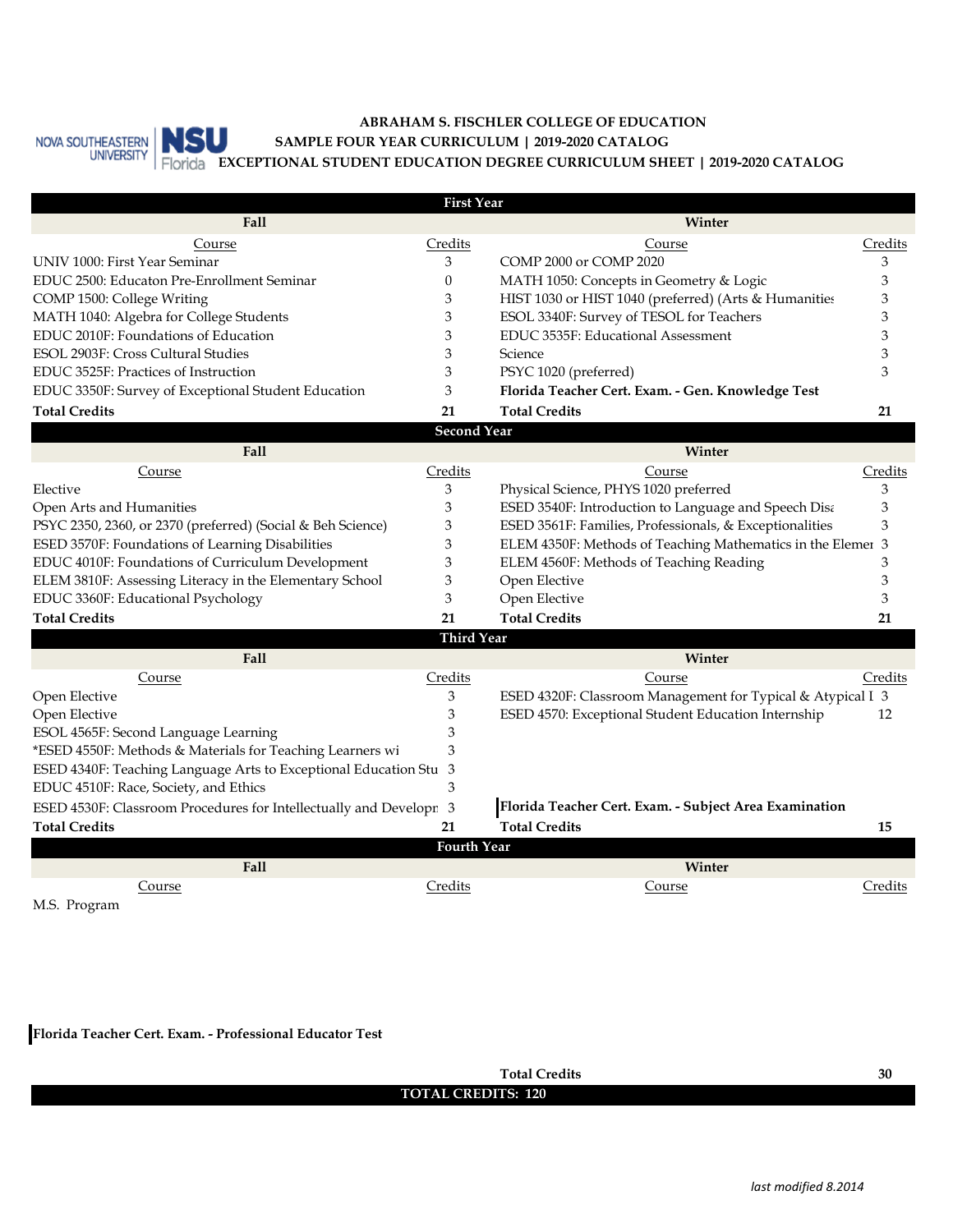

#### **ABRAHAM S. FISCHLER COLLEGE OF EDUCATION EXCEPTIONAL STUDENT EDUCATION DEGREE CURRICULUM SHEET | 2019-2020 CATALOG SAMPLE FOUR YEAR CURRICULUM | 2019-2020 CATALOG**

| <b>First Year</b>                                                  |                    |                                                             |         |  |  |  |
|--------------------------------------------------------------------|--------------------|-------------------------------------------------------------|---------|--|--|--|
| Fall                                                               |                    | Winter                                                      |         |  |  |  |
| Course                                                             | Credits            | Course                                                      | Credits |  |  |  |
| UNIV 1000: First Year Seminar                                      | 3                  | COMP 2000 or COMP 2020                                      | 3       |  |  |  |
| EDUC 2500: Educaton Pre-Enrollment Seminar                         | 0                  | MATH 1050: Concepts in Geometry & Logic                     | 3       |  |  |  |
| COMP 1500: College Writing                                         | 3                  | HIST 1030 or HIST 1040 (preferred) (Arts & Humanities       | 3       |  |  |  |
| MATH 1040: Algebra for College Students                            | 3                  | ESOL 3340F: Survey of TESOL for Teachers                    | 3       |  |  |  |
| EDUC 2010F: Foundations of Education                               | 3                  | EDUC 3535F: Educational Assessment                          | 3       |  |  |  |
| ESOL 2903F: Cross Cultural Studies                                 | 3                  | Science                                                     | 3       |  |  |  |
| EDUC 3525F: Practices of Instruction                               | 3                  | PSYC 1020 (preferred)                                       | 3       |  |  |  |
| EDUC 3350F: Survey of Exceptional Student Education                | 3                  | Florida Teacher Cert. Exam. - Gen. Knowledge Test           |         |  |  |  |
| <b>Total Credits</b>                                               | 21                 | <b>Total Credits</b>                                        | 21      |  |  |  |
|                                                                    | <b>Second Year</b> |                                                             |         |  |  |  |
| Fall                                                               |                    | Winter                                                      |         |  |  |  |
| Course                                                             | Credits            | Course                                                      | Credits |  |  |  |
| Elective                                                           | 3                  | Physical Science, PHYS 1020 preferred                       | 3       |  |  |  |
| Open Arts and Humanities                                           | 3                  | ESED 3540F: Introduction to Language and Speech Disa        | 3       |  |  |  |
| PSYC 2350, 2360, or 2370 (preferred) (Social & Beh Science)        | 3                  | ESED 3561F: Families, Professionals, & Exceptionalities     | 3       |  |  |  |
| ESED 3570F: Foundations of Learning Disabilities                   | 3                  | ELEM 4350F: Methods of Teaching Mathematics in the Elemer 3 |         |  |  |  |
| EDUC 4010F: Foundations of Curriculum Development                  | 3                  | ELEM 4560F: Methods of Teaching Reading                     | 3       |  |  |  |
| ELEM 3810F: Assessing Literacy in the Elementary School            | 3                  | Open Elective                                               | 3       |  |  |  |
| EDUC 3360F: Educational Psychology                                 | 3                  | Open Elective                                               | 3       |  |  |  |
| <b>Total Credits</b>                                               | 21                 | <b>Total Credits</b>                                        | 21      |  |  |  |
|                                                                    | <b>Third Year</b>  |                                                             |         |  |  |  |
| Fall                                                               |                    | Winter                                                      |         |  |  |  |
| Course                                                             | Credits            | Course                                                      | Credits |  |  |  |
| Open Elective                                                      | 3                  | ESED 4320F: Classroom Management for Typical & Atypical I 3 |         |  |  |  |
| Open Elective                                                      | 3                  | ESED 4570: Exceptional Student Education Internship         | 12      |  |  |  |
| ESOL 4565F: Second Language Learning                               | 3                  |                                                             |         |  |  |  |
| *ESED 4550F: Methods & Materials for Teaching Learners wi          | 3                  |                                                             |         |  |  |  |
| ESED 4340F: Teaching Language Arts to Exceptional Education Stu    | 3                  |                                                             |         |  |  |  |
| EDUC 4510F: Race, Society, and Ethics                              | 3                  |                                                             |         |  |  |  |
| ESED 4530F: Classroom Procedures for Intellectually and Developr 3 |                    | Florida Teacher Cert. Exam. - Subject Area Examination      |         |  |  |  |
| <b>Total Credits</b>                                               | 21                 | <b>Total Credits</b>                                        | 15      |  |  |  |
|                                                                    | <b>Fourth Year</b> |                                                             |         |  |  |  |
| Fall                                                               |                    | Winter                                                      |         |  |  |  |
| Course                                                             | Credits            | Course                                                      | Credits |  |  |  |
| M.S. Program                                                       |                    |                                                             |         |  |  |  |

**Florida Teacher Cert. Exam. - Professional Educator Test**

**TOTAL CREDITS: 120 Total Credits 30**